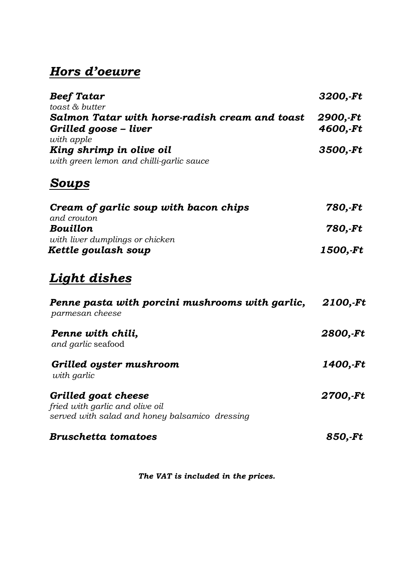### *Hors d'oeuvre*

| <b>Beef Tatar</b><br>3200,-Ft                                                    |  |
|----------------------------------------------------------------------------------|--|
| toast & butter                                                                   |  |
| Salmon Tatar with horse-radish cream and toast<br>2900,-Ft                       |  |
| 4600,-Ft<br>Grilled goose - liver                                                |  |
| with apple                                                                       |  |
| King shrimp in olive oil<br>3500,-Ft<br>with green lemon and chilli-garlic sauce |  |

## *Soups*

| Cream of garlic soup with bacon chips | 780,-Ft  |
|---------------------------------------|----------|
| and crouton                           |          |
| <b>Bouillon</b>                       | 780,-Ft  |
| with liver dumplings or chicken       |          |
| Kettle goulash soup                   | 1500,-Ft |

### *Light dishes*

| Penne pasta with porcini mushrooms with garlic,<br>parmesan cheese                                       | 2100,-Ft |
|----------------------------------------------------------------------------------------------------------|----------|
| Penne with chili,<br>and garlic seafood                                                                  | 2800,-Ft |
| Grilled oyster mushroom<br>with garlic                                                                   | 1400,-Ft |
| Grilled goat cheese<br>fried with garlic and olive oil<br>served with salad and honey balsamico dressing | 2700,-Ft |
| <b>Bruschetta tomatoes</b>                                                                               | 850,-Ft  |

 *The VAT is included in the prices.*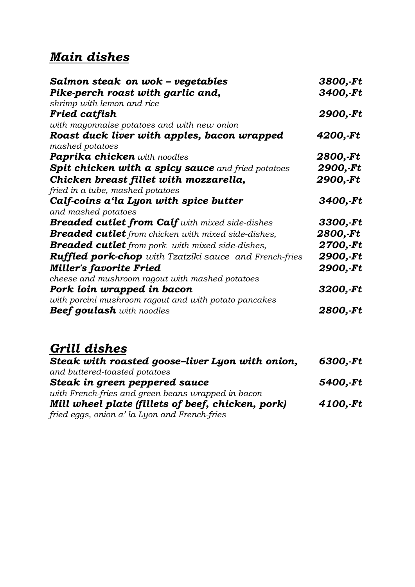## *Main dishes*

| Salmon steak on wok – vegetables                                           | 3800,-Ft |
|----------------------------------------------------------------------------|----------|
| Pike-perch roast with garlic and,<br>shrimp with lemon and rice            | 3400,-Ft |
| Fried catfish                                                              | 2900,-Ft |
| with mayonnaise potatoes and with new onion                                |          |
| Roast duck liver with apples, bacon wrapped<br>mashed potatoes             | 4200,-Ft |
| <b>Paprika chicken</b> with noodles                                        | 2800,-Ft |
| <b>Spit chicken with a spicy sauce</b> and fried potatoes                  | 2900,-Ft |
| Chicken breast fillet with mozzarella,                                     | 2900,-Ft |
| fried in a tube, mashed potatoes<br>Calf-coins a'la Lyon with spice butter | 3400,-Ft |
| and mashed potatoes                                                        |          |
| <b>Breaded cutlet from Calf</b> with mixed side-dishes                     | 3300,-Ft |
| <b>Breaded cutlet</b> from chicken with mixed side-dishes,                 | 2800,-Ft |
| <b>Breaded cutlet</b> from pork with mixed side-dishes,                    | 2700,-Ft |
| <b>Ruffled pork-chop</b> with Tzatziki sauce and French-fries              | 2900,-Ft |
| <b>Miller's favorite Fried</b>                                             | 2900,-Ft |
| cheese and mushroom ragout with mashed potatoes                            |          |
| Pork loin wrapped in bacon                                                 | 3200,-Ft |
| with porcini mushroom ragout and with potato pancakes                      |          |
| <b>Beef goulash</b> with noodles                                           | 2800,-Ft |

# *Grill dishes*

| Steak with roasted goose-liver Lyon with onion,    | 6300,-Ft |
|----------------------------------------------------|----------|
| and buttered-toasted potatoes                      |          |
| Steak in green peppered sauce                      | 5400,-Ft |
| with French-fries and green beans wrapped in bacon |          |
| Mill wheel plate (fillets of beef, chicken, pork)  | 4100,-Ft |
| fried eggs, onion a' la Lyon and French-fries      |          |